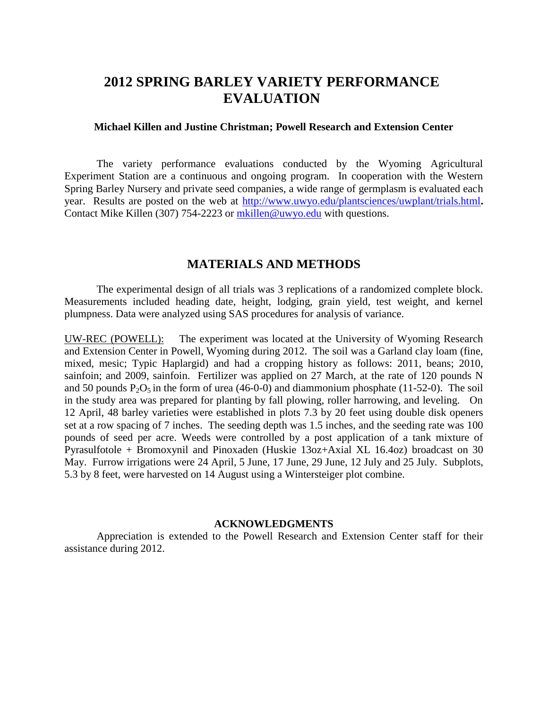## **2012 SPRING BARLEY VARIETY PERFORMANCE EVALUATION**

## **Michael Killen and Justine Christman; Powell Research and Extension Center**

The variety performance evaluations conducted by the Wyoming Agricultural Experiment Station are a continuous and ongoing program. In cooperation with the Western Spring Barley Nursery and private seed companies, a wide range of germplasm is evaluated each year. Results are posted on the web at <http://www.uwyo.edu/plantsciences/uwplant/trials.html>**.**  Contact Mike Killen (307) 754-2223 or [mkillen@uwyo.edu](mailto:mkillen@uwyo.edu) with questions.

## **MATERIALS AND METHODS**

The experimental design of all trials was 3 replications of a randomized complete block. Measurements included heading date, height, lodging, grain yield, test weight, and kernel plumpness. Data were analyzed using SAS procedures for analysis of variance.

UW-REC (POWELL): The experiment was located at the University of Wyoming Research and Extension Center in Powell, Wyoming during 2012. The soil was a Garland clay loam (fine, mixed, mesic; Typic Haplargid) and had a cropping history as follows: 2011, beans; 2010, sainfoin; and 2009, sainfoin. Fertilizer was applied on 27 March, at the rate of 120 pounds N and 50 pounds  $P_2O_5$  in the form of urea (46-0-0) and diammonium phosphate (11-52-0). The soil in the study area was prepared for planting by fall plowing, roller harrowing, and leveling. On 12 April, 48 barley varieties were established in plots 7.3 by 20 feet using double disk openers set at a row spacing of 7 inches. The seeding depth was 1.5 inches, and the seeding rate was 100 pounds of seed per acre. Weeds were controlled by a post application of a tank mixture of Pyrasulfotole + Bromoxynil and Pinoxaden (Huskie 13oz+Axial XL 16.4oz) broadcast on 30 May. Furrow irrigations were 24 April, 5 June, 17 June, 29 June, 12 July and 25 July. Subplots, 5.3 by 8 feet, were harvested on 14 August using a Wintersteiger plot combine.

## **ACKNOWLEDGMENTS**

Appreciation is extended to the Powell Research and Extension Center staff for their assistance during 2012.